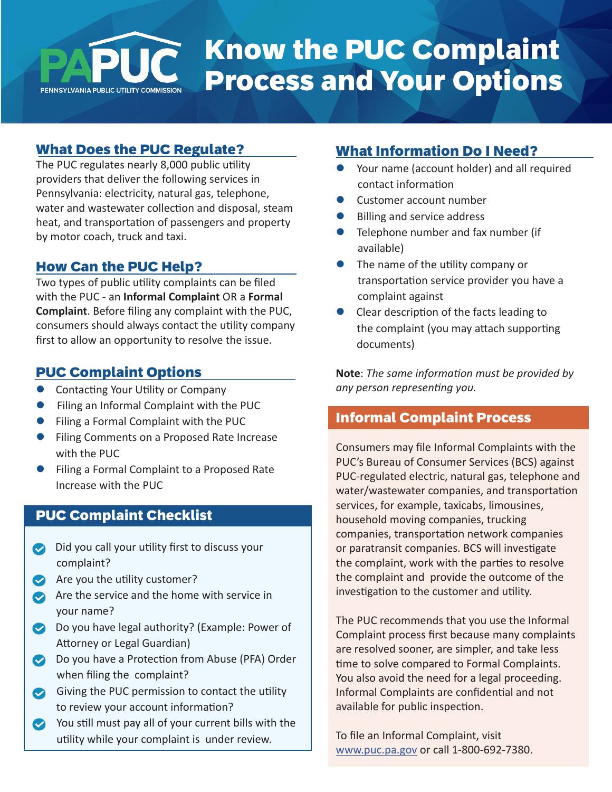# Know the PUC Complaint Process and Your OptionsPENNSYLVANIA PUBLIC UTILITY COMMISSION

### What Does the PUC Regulate?

The PUC regulates nearly 8,000 public utility providers that deliver the following services in Pennsylvania: electricity, natural gas, telephone, water and wastewater collection and disposal, steam heat, and transportation of passengers and property by motor coach, truck and taxi.

#### How Can the PUC Help?

Two types of public utility complaints can be filed with the PUC - an **Informal Complaint** OR a **Formal Complaint**. Before filing any complaint with the PUC, consumers should always contact the utility company first to allow an opportunity to resolve the issue.

#### PUC Complaint Options

- **Contacting Your Utility or Company**
- **•** Filing an Informal Complaint with the PUC
- **•** Filing a Formal Complaint with the PUC
- **Filing Comments on a Proposed Rate Increase** with the PUC
- Filing a Formal Complaint to a Proposed Rate Increase with the PUC

# PUC Complaint Checklist

- Did you call your utility first to discuss your complaint?
- $\bullet$  Are you the utility customer?
- Are the service and the home with service in your name?
- Do you have legal authority? (Example: Power of Attorney or Legal Guardian)
- **Do you have a Protection from Abuse (PFA) Order** when filing the complaint?
- Giving the PUC permission to contact the utility to review your account information?
- You still must pay all of your current bills with the utility while your complaint is under review.

#### What Information Do I Need?

- Your name (account holder) and all required contact information
- Customer account number
- Billing and service address
- Telephone number and fax number (if available)
- The name of the utility company or transportation service provider you have a complaint against
- Clear description of the facts leading to the complaint (you may attach supporting documents)

**Note**: *The same information must be provided by any person representing you.*

#### Informal Complaint Process

Consumers may file Informal Complaints with the PUC's Bureau of Consumer Services (BCS) against PUC-regulated electric, natural gas, telephone and water/wastewater companies, and transportation services, for example, taxicabs, limousines, household moving companies, trucking companies, transportation network companies or paratransit companies. BCS will investigate the complaint, work with the parties to resolve the complaint and provide the outcome of the investigation to the customer and utility.

The PUC recommends that you use the Informal Complaint process first because many complaints are resolved sooner, are simpler, and take less time to solve compared to Formal Complaints. You also avoid the need for a legal proceeding. Informal Complaints are confidential and not available for public inspection.

To file an Informal Complaint, visit [www.puc.pa.gov](http://www.puc.pa.gov) or call 1-800-692-7380.